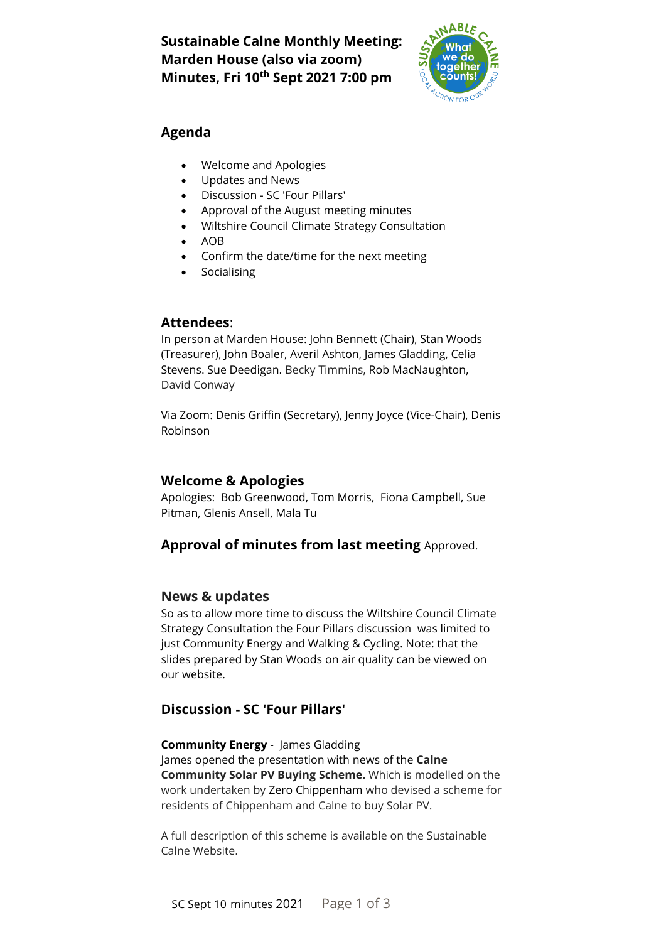# **Sustainable Calne Monthly Meeting: Marden House (also via zoom) Minutes, Fri 10 th Sept 2021 7:00 pm**



# **Agenda**

- Welcome and Apologies
- Updates and News
- Discussion SC 'Four Pillars'
- Approval of the August meeting minutes
- Wiltshire Council Climate Strategy Consultation
- AOB
- Confirm the date/time for the next meeting
- Socialising

## **Attendees**:

In person at Marden House: John Bennett (Chair), Stan Woods (Treasurer), John Boaler, Averil Ashton, James Gladding, Celia Stevens. Sue Deedigan. Becky Timmins, Rob MacNaughton, David Conway

Via Zoom: Denis Griffin (Secretary), Jenny Joyce (Vice-Chair), Denis Robinson

# **Welcome & Apologies**

Apologies: Bob Greenwood, Tom Morris, Fiona Campbell, Sue Pitman, Glenis Ansell, Mala Tu

# **Approval of minutes from last meeting** Approved.

#### **News & updates**

So as to allow more time to discuss the Wiltshire Council Climate Strategy Consultation the Four Pillars discussion was limited to just Community Energy and Walking & Cycling. Note: that the slides prepared by Stan Woods on air quality can be viewed on our website.

# **Discussion - SC 'Four Pillars'**

**Community Energy** - James Gladding James opened the presentation with news of the **Calne Community Solar PV Buying Scheme.** Which is modelled on the work undertaken by [Zero Chippenham](https://zerochippenham.org/) who devised a scheme for residents of Chippenham and Calne to buy Solar PV.

A full description of this scheme is available on the Sustainable Calne Website.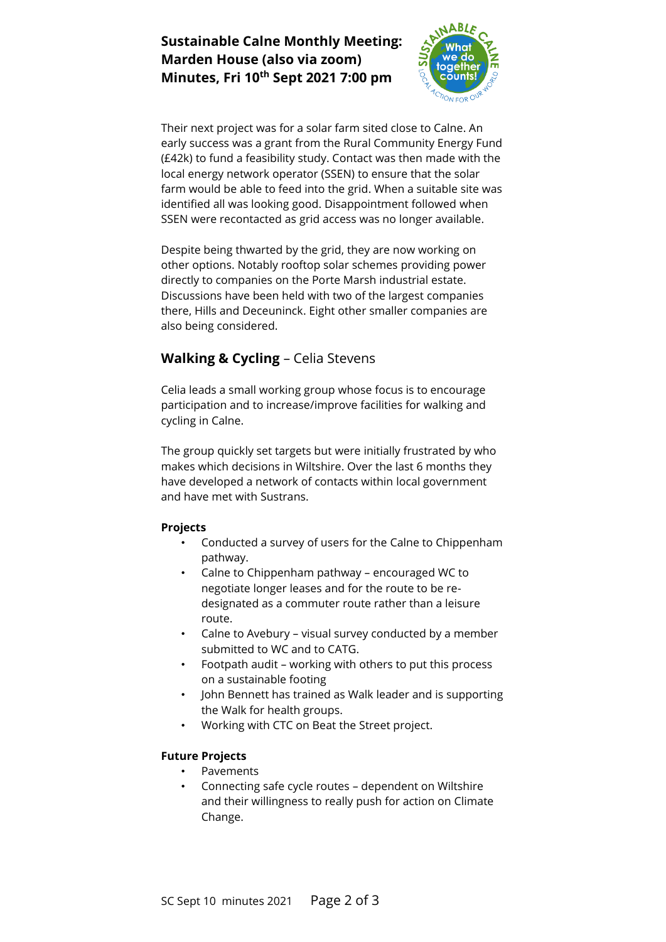# **Sustainable Calne Monthly Meeting: Marden House (also via zoom) Minutes, Fri 10th Sept 2021 7:00 pm**



Their next project was for a solar farm sited close to Calne. An early success was a grant from the Rural Community Energy Fund (£42k) to fund a feasibility study. Contact was then made with the local energy network operator (SSEN) to ensure that the solar farm would be able to feed into the grid. When a suitable site was identified all was looking good. Disappointment followed when SSEN were recontacted as grid access was no longer available.

Despite being thwarted by the grid, they are now working on other options. Notably rooftop solar schemes providing power directly to companies on the Porte Marsh industrial estate. Discussions have been held with two of the largest companies there, Hills and Deceuninck. Eight other smaller companies are also being considered.

# **Walking & Cycling** – Celia Stevens

Celia leads a small working group whose focus is to encourage participation and to increase/improve facilities for walking and cycling in Calne.

The group quickly set targets but were initially frustrated by who makes which decisions in Wiltshire. Over the last 6 months they have developed a network of contacts within local government and have met with Sustrans.

#### **Projects**

- Conducted a survey of users for the Calne to Chippenham pathway.
- Calne to Chippenham pathway encouraged WC to negotiate longer leases and for the route to be redesignated as a commuter route rather than a leisure route.
- Calne to Avebury visual survey conducted by a member submitted to WC and to CATG.
- Footpath audit working with others to put this process on a sustainable footing
- John Bennett has trained as Walk leader and is supporting the Walk for health groups.
- Working with CTC on Beat the Street project.

#### **Future Projects**

- **Pavements**
- Connecting safe cycle routes dependent on Wiltshire and their willingness to really push for action on Climate Change.